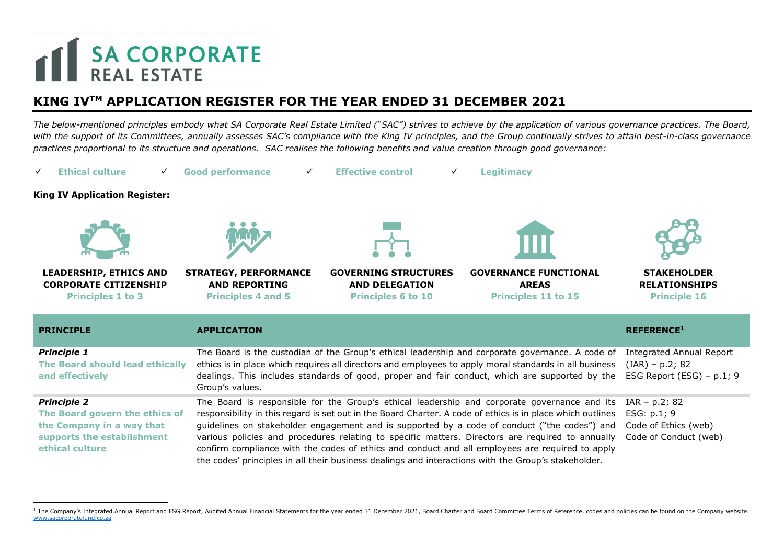## **THE SA CORPORATE**

## **KING IVTM APPLICATION REGISTER FOR THE YEAR ENDED 31 DECEMBER 2021**

*The below-mentioned principles embody what SA Corporate Real Estate Limited ("SAC") strives to achieve by the application of various governance practices. The Board,*  with the support of its Committees, annually assesses SAC's compliance with the King IV principles, and the Group continually strives to attain best-in-class governance *practices proportional to its structure and operations. SAC realises the following benefits and value creation through good governance:*



<sup>&</sup>lt;sup>1</sup> The Company's Integrated Annual Report and ESG Report, Audited Annual Financial Statements for the year ended 31 December 2021, Board Charter and Board Committee Terms of Reference, codes and policies can be found on t [www.sacorporatefund.co.za](http://www.sacorporatefund.co.za/)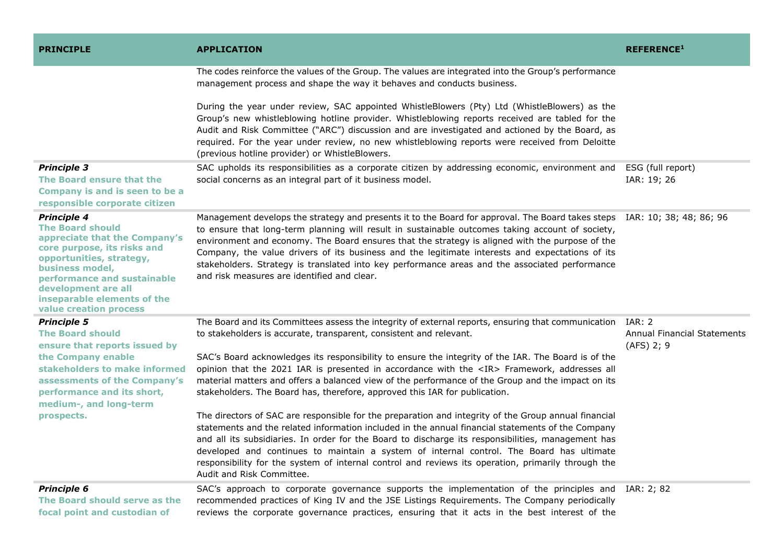| <b>PRINCIPLE</b>                                                                                                                                                                                                                                                            | <b>APPLICATION</b>                                                                                                                                                                                                                                                                                                                                                                                                                                                                                                                                                                   | <b>REFERENCE1</b>                                                 |
|-----------------------------------------------------------------------------------------------------------------------------------------------------------------------------------------------------------------------------------------------------------------------------|--------------------------------------------------------------------------------------------------------------------------------------------------------------------------------------------------------------------------------------------------------------------------------------------------------------------------------------------------------------------------------------------------------------------------------------------------------------------------------------------------------------------------------------------------------------------------------------|-------------------------------------------------------------------|
|                                                                                                                                                                                                                                                                             | The codes reinforce the values of the Group. The values are integrated into the Group's performance<br>management process and shape the way it behaves and conducts business.                                                                                                                                                                                                                                                                                                                                                                                                        |                                                                   |
|                                                                                                                                                                                                                                                                             | During the year under review, SAC appointed WhistleBlowers (Pty) Ltd (WhistleBlowers) as the<br>Group's new whistleblowing hotline provider. Whistleblowing reports received are tabled for the<br>Audit and Risk Committee ("ARC") discussion and are investigated and actioned by the Board, as<br>required. For the year under review, no new whistleblowing reports were received from Deloitte<br>(previous hotline provider) or WhistleBlowers.                                                                                                                                |                                                                   |
| <b>Principle 3</b><br>The Board ensure that the<br>Company is and is seen to be a<br>responsible corporate citizen                                                                                                                                                          | SAC upholds its responsibilities as a corporate citizen by addressing economic, environment and<br>social concerns as an integral part of it business model.                                                                                                                                                                                                                                                                                                                                                                                                                         | ESG (full report)<br>IAR: 19; 26                                  |
| <b>Principle 4</b><br><b>The Board should</b><br>appreciate that the Company's<br>core purpose, its risks and<br>opportunities, strategy,<br>business model,<br>performance and sustainable<br>development are all<br>inseparable elements of the<br>value creation process | Management develops the strategy and presents it to the Board for approval. The Board takes steps IAR: 10; 38; 48; 86; 96<br>to ensure that long-term planning will result in sustainable outcomes taking account of society,<br>environment and economy. The Board ensures that the strategy is aligned with the purpose of the<br>Company, the value drivers of its business and the legitimate interests and expectations of its<br>stakeholders. Strategy is translated into key performance areas and the associated performance<br>and risk measures are identified and clear. |                                                                   |
| <b>Principle 5</b><br><b>The Board should</b><br>ensure that reports issued by                                                                                                                                                                                              | The Board and its Committees assess the integrity of external reports, ensuring that communication<br>to stakeholders is accurate, transparent, consistent and relevant.                                                                                                                                                                                                                                                                                                                                                                                                             | <b>IAR: 2</b><br><b>Annual Financial Statements</b><br>(AFS) 2; 9 |
| the Company enable<br>stakeholders to make informed<br>assessments of the Company's<br>performance and its short,<br>medium-, and long-term                                                                                                                                 | SAC's Board acknowledges its responsibility to ensure the integrity of the IAR. The Board is of the<br>opinion that the 2021 IAR is presented in accordance with the <ir> Framework, addresses all<br/>material matters and offers a balanced view of the performance of the Group and the impact on its<br/>stakeholders. The Board has, therefore, approved this IAR for publication.</ir>                                                                                                                                                                                         |                                                                   |
| prospects.                                                                                                                                                                                                                                                                  | The directors of SAC are responsible for the preparation and integrity of the Group annual financial<br>statements and the related information included in the annual financial statements of the Company<br>and all its subsidiaries. In order for the Board to discharge its responsibilities, management has<br>developed and continues to maintain a system of internal control. The Board has ultimate<br>responsibility for the system of internal control and reviews its operation, primarily through the<br>Audit and Risk Committee.                                       |                                                                   |
| <b>Principle 6</b><br>The Board should serve as the<br>focal point and custodian of                                                                                                                                                                                         | SAC's approach to corporate governance supports the implementation of the principles and<br>recommended practices of King IV and the JSE Listings Requirements. The Company periodically<br>reviews the corporate governance practices, ensuring that it acts in the best interest of the                                                                                                                                                                                                                                                                                            | IAR: 2; 82                                                        |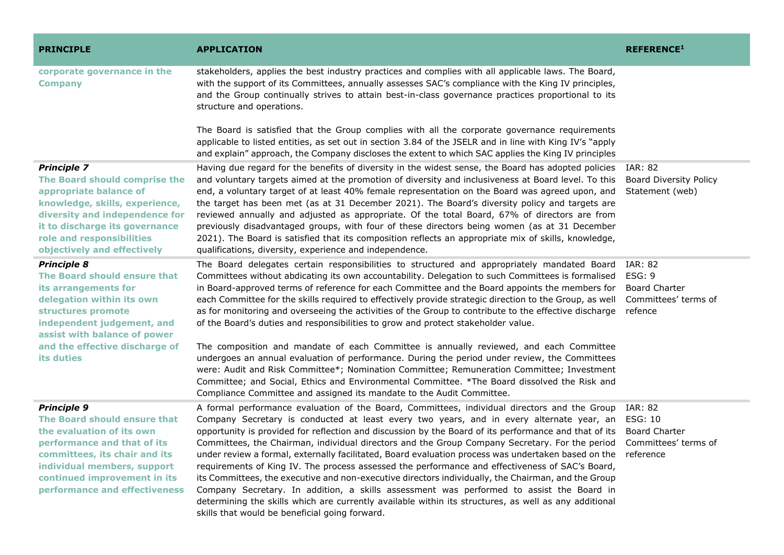| <b>PRINCIPLE</b>                                                                                                                                                                                                                                | <b>APPLICATION</b>                                                                                                                                                                                                                                                                                                                                                                                                                                                                                                                                                                                                                                                                                                                                                                                                                                                                                                                                                                                                 | <b>REFERENCE1</b>                                                            |
|-------------------------------------------------------------------------------------------------------------------------------------------------------------------------------------------------------------------------------------------------|--------------------------------------------------------------------------------------------------------------------------------------------------------------------------------------------------------------------------------------------------------------------------------------------------------------------------------------------------------------------------------------------------------------------------------------------------------------------------------------------------------------------------------------------------------------------------------------------------------------------------------------------------------------------------------------------------------------------------------------------------------------------------------------------------------------------------------------------------------------------------------------------------------------------------------------------------------------------------------------------------------------------|------------------------------------------------------------------------------|
| corporate governance in the<br><b>Company</b>                                                                                                                                                                                                   | stakeholders, applies the best industry practices and complies with all applicable laws. The Board,<br>with the support of its Committees, annually assesses SAC's compliance with the King IV principles,<br>and the Group continually strives to attain best-in-class governance practices proportional to its<br>structure and operations.                                                                                                                                                                                                                                                                                                                                                                                                                                                                                                                                                                                                                                                                      |                                                                              |
|                                                                                                                                                                                                                                                 | The Board is satisfied that the Group complies with all the corporate governance requirements<br>applicable to listed entities, as set out in section 3.84 of the JSELR and in line with King IV's "apply<br>and explain" approach, the Company discloses the extent to which SAC applies the King IV principles                                                                                                                                                                                                                                                                                                                                                                                                                                                                                                                                                                                                                                                                                                   |                                                                              |
| <b>Principle 7</b><br>The Board should comprise the<br>appropriate balance of<br>knowledge, skills, experience,<br>diversity and independence for<br>it to discharge its governance<br>role and responsibilities<br>objectively and effectively | Having due regard for the benefits of diversity in the widest sense, the Board has adopted policies<br>and voluntary targets aimed at the promotion of diversity and inclusiveness at Board level. To this<br>end, a voluntary target of at least 40% female representation on the Board was agreed upon, and<br>the target has been met (as at 31 December 2021). The Board's diversity policy and targets are<br>reviewed annually and adjusted as appropriate. Of the total Board, 67% of directors are from<br>previously disadvantaged groups, with four of these directors being women (as at 31 December<br>2021). The Board is satisfied that its composition reflects an appropriate mix of skills, knowledge,<br>qualifications, diversity, experience and independence.                                                                                                                                                                                                                                 | <b>IAR: 82</b><br><b>Board Diversity Policy</b><br>Statement (web)           |
| <b>Principle 8</b><br>The Board should ensure that<br>its arrangements for<br>delegation within its own<br>structures promote<br>independent judgement, and<br>assist with balance of power                                                     | The Board delegates certain responsibilities to structured and appropriately mandated Board<br>Committees without abdicating its own accountability. Delegation to such Committees is formalised<br>in Board-approved terms of reference for each Committee and the Board appoints the members for<br>each Committee for the skills required to effectively provide strategic direction to the Group, as well<br>as for monitoring and overseeing the activities of the Group to contribute to the effective discharge<br>of the Board's duties and responsibilities to grow and protect stakeholder value.                                                                                                                                                                                                                                                                                                                                                                                                        | IAR: 82<br>ESG: 9<br><b>Board Charter</b><br>Committees' terms of<br>refence |
| and the effective discharge of<br>its duties                                                                                                                                                                                                    | The composition and mandate of each Committee is annually reviewed, and each Committee<br>undergoes an annual evaluation of performance. During the period under review, the Committees<br>were: Audit and Risk Committee*; Nomination Committee; Remuneration Committee; Investment<br>Committee; and Social, Ethics and Environmental Committee. *The Board dissolved the Risk and<br>Compliance Committee and assigned its mandate to the Audit Committee.                                                                                                                                                                                                                                                                                                                                                                                                                                                                                                                                                      |                                                                              |
| <b>Principle 9</b><br>The Board should ensure that<br>the evaluation of its own<br>performance and that of its<br>committees, its chair and its<br>individual members, support<br>continued improvement in its<br>performance and effectiveness | A formal performance evaluation of the Board, Committees, individual directors and the Group<br>Company Secretary is conducted at least every two years, and in every alternate year, an ESG: 10<br>opportunity is provided for reflection and discussion by the Board of its performance and that of its<br>Committees, the Chairman, individual directors and the Group Company Secretary. For the period Committees' terms of<br>under review a formal, externally facilitated, Board evaluation process was undertaken based on the reference<br>requirements of King IV. The process assessed the performance and effectiveness of SAC's Board,<br>its Committees, the executive and non-executive directors individually, the Chairman, and the Group<br>Company Secretary. In addition, a skills assessment was performed to assist the Board in<br>determining the skills which are currently available within its structures, as well as any additional<br>skills that would be beneficial going forward. | <b>IAR: 82</b><br><b>Board Charter</b>                                       |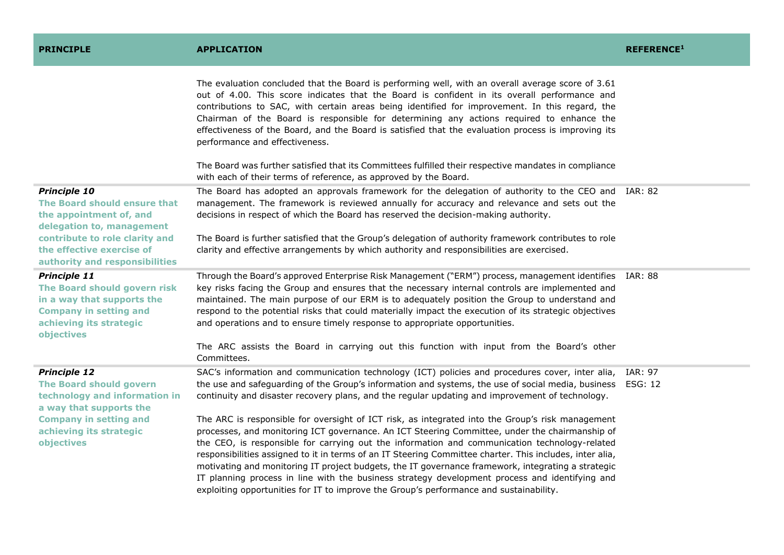| <b>PRINCIPLE</b>                                                                                                                                                                                             | <b>APPLICATION</b>                                                                                                                                                                                                                                                                                                                                                                                                                                                                                                                                                                                                                                                                                                                                                                                                                                                                                                                                                                                                            | <b>REFERENCE1</b>                |
|--------------------------------------------------------------------------------------------------------------------------------------------------------------------------------------------------------------|-------------------------------------------------------------------------------------------------------------------------------------------------------------------------------------------------------------------------------------------------------------------------------------------------------------------------------------------------------------------------------------------------------------------------------------------------------------------------------------------------------------------------------------------------------------------------------------------------------------------------------------------------------------------------------------------------------------------------------------------------------------------------------------------------------------------------------------------------------------------------------------------------------------------------------------------------------------------------------------------------------------------------------|----------------------------------|
|                                                                                                                                                                                                              | The evaluation concluded that the Board is performing well, with an overall average score of 3.61<br>out of 4.00. This score indicates that the Board is confident in its overall performance and<br>contributions to SAC, with certain areas being identified for improvement. In this regard, the<br>Chairman of the Board is responsible for determining any actions required to enhance the<br>effectiveness of the Board, and the Board is satisfied that the evaluation process is improving its<br>performance and effectiveness.<br>The Board was further satisfied that its Committees fulfilled their respective mandates in compliance<br>with each of their terms of reference, as approved by the Board.                                                                                                                                                                                                                                                                                                         |                                  |
| <b>Principle 10</b><br>The Board should ensure that<br>the appointment of, and<br>delegation to, management<br>contribute to role clarity and<br>the effective exercise of<br>authority and responsibilities | The Board has adopted an approvals framework for the delegation of authority to the CEO and IAR: 82<br>management. The framework is reviewed annually for accuracy and relevance and sets out the<br>decisions in respect of which the Board has reserved the decision-making authority.<br>The Board is further satisfied that the Group's delegation of authority framework contributes to role<br>clarity and effective arrangements by which authority and responsibilities are exercised.                                                                                                                                                                                                                                                                                                                                                                                                                                                                                                                                |                                  |
| <b>Principle 11</b><br>The Board should govern risk<br>in a way that supports the<br><b>Company in setting and</b><br>achieving its strategic<br>objectives                                                  | Through the Board's approved Enterprise Risk Management ("ERM") process, management identifies IAR: 88<br>key risks facing the Group and ensures that the necessary internal controls are implemented and<br>maintained. The main purpose of our ERM is to adequately position the Group to understand and<br>respond to the potential risks that could materially impact the execution of its strategic objectives<br>and operations and to ensure timely response to appropriate opportunities.<br>The ARC assists the Board in carrying out this function with input from the Board's other<br>Committees.                                                                                                                                                                                                                                                                                                                                                                                                                 |                                  |
| <b>Principle 12</b><br><b>The Board should govern</b><br>technology and information in<br>a way that supports the<br><b>Company in setting and</b><br>achieving its strategic<br>objectives                  | SAC's information and communication technology (ICT) policies and procedures cover, inter alia,<br>the use and safeguarding of the Group's information and systems, the use of social media, business<br>continuity and disaster recovery plans, and the regular updating and improvement of technology.<br>The ARC is responsible for oversight of ICT risk, as integrated into the Group's risk management<br>processes, and monitoring ICT governance. An ICT Steering Committee, under the chairmanship of<br>the CEO, is responsible for carrying out the information and communication technology-related<br>responsibilities assigned to it in terms of an IT Steering Committee charter. This includes, inter alia,<br>motivating and monitoring IT project budgets, the IT governance framework, integrating a strategic<br>IT planning process in line with the business strategy development process and identifying and<br>exploiting opportunities for IT to improve the Group's performance and sustainability. | <b>IAR: 97</b><br><b>ESG: 12</b> |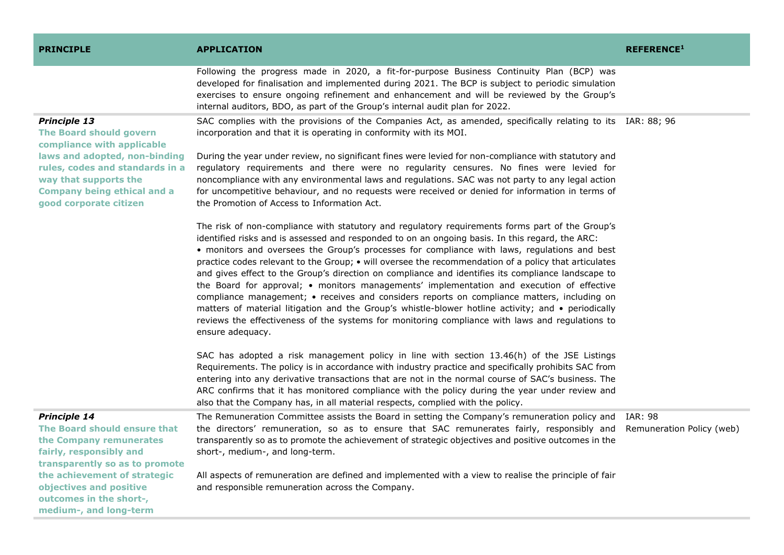| <b>PRINCIPLE</b>                                                                                                                                          | <b>APPLICATION</b>                                                                                                                                                                                                                                                                                                                                                                                                                                                                                                                                                                                                                                                                                                                                                                                                                                                                                                                        | <b>REFERENCE1</b>                           |
|-----------------------------------------------------------------------------------------------------------------------------------------------------------|-------------------------------------------------------------------------------------------------------------------------------------------------------------------------------------------------------------------------------------------------------------------------------------------------------------------------------------------------------------------------------------------------------------------------------------------------------------------------------------------------------------------------------------------------------------------------------------------------------------------------------------------------------------------------------------------------------------------------------------------------------------------------------------------------------------------------------------------------------------------------------------------------------------------------------------------|---------------------------------------------|
|                                                                                                                                                           | Following the progress made in 2020, a fit-for-purpose Business Continuity Plan (BCP) was<br>developed for finalisation and implemented during 2021. The BCP is subject to periodic simulation<br>exercises to ensure ongoing refinement and enhancement and will be reviewed by the Group's<br>internal auditors, BDO, as part of the Group's internal audit plan for 2022.                                                                                                                                                                                                                                                                                                                                                                                                                                                                                                                                                              |                                             |
| <b>Principle 13</b><br><b>The Board should govern</b><br>compliance with applicable                                                                       | SAC complies with the provisions of the Companies Act, as amended, specifically relating to its IAR: 88; 96<br>incorporation and that it is operating in conformity with its MOI.                                                                                                                                                                                                                                                                                                                                                                                                                                                                                                                                                                                                                                                                                                                                                         |                                             |
| laws and adopted, non-binding<br>rules, codes and standards in a<br>way that supports the<br><b>Company being ethical and a</b><br>good corporate citizen | During the year under review, no significant fines were levied for non-compliance with statutory and<br>regulatory requirements and there were no regularity censures. No fines were levied for<br>noncompliance with any environmental laws and regulations. SAC was not party to any legal action<br>for uncompetitive behaviour, and no requests were received or denied for information in terms of<br>the Promotion of Access to Information Act.                                                                                                                                                                                                                                                                                                                                                                                                                                                                                    |                                             |
|                                                                                                                                                           | The risk of non-compliance with statutory and regulatory requirements forms part of the Group's<br>identified risks and is assessed and responded to on an ongoing basis. In this regard, the ARC:<br>• monitors and oversees the Group's processes for compliance with laws, regulations and best<br>practice codes relevant to the Group; • will oversee the recommendation of a policy that articulates<br>and gives effect to the Group's direction on compliance and identifies its compliance landscape to<br>the Board for approval; • monitors managements' implementation and execution of effective<br>compliance management; • receives and considers reports on compliance matters, including on<br>matters of material litigation and the Group's whistle-blower hotline activity; and • periodically<br>reviews the effectiveness of the systems for monitoring compliance with laws and regulations to<br>ensure adequacy. |                                             |
|                                                                                                                                                           | SAC has adopted a risk management policy in line with section 13.46(h) of the JSE Listings<br>Requirements. The policy is in accordance with industry practice and specifically prohibits SAC from<br>entering into any derivative transactions that are not in the normal course of SAC's business. The<br>ARC confirms that it has monitored compliance with the policy during the year under review and<br>also that the Company has, in all material respects, complied with the policy.                                                                                                                                                                                                                                                                                                                                                                                                                                              |                                             |
| <b>Principle 14</b><br>The Board should ensure that<br>the Company remunerates<br>fairly, responsibly and<br>transparently so as to promote               | The Remuneration Committee assists the Board in setting the Company's remuneration policy and<br>the directors' remuneration, so as to ensure that SAC remunerates fairly, responsibly and<br>transparently so as to promote the achievement of strategic objectives and positive outcomes in the<br>short-, medium-, and long-term.                                                                                                                                                                                                                                                                                                                                                                                                                                                                                                                                                                                                      | <b>IAR: 98</b><br>Remuneration Policy (web) |
| the achievement of strategic<br>objectives and positive<br>outcomes in the short-,<br>medium-, and long-term                                              | All aspects of remuneration are defined and implemented with a view to realise the principle of fair<br>and responsible remuneration across the Company.                                                                                                                                                                                                                                                                                                                                                                                                                                                                                                                                                                                                                                                                                                                                                                                  |                                             |